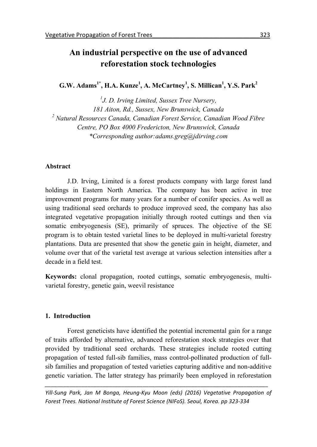# **An industrial perspective on the use of advanced reforestation stock technologies**

**G.W. Adams1\* , H.A. Kunze<sup>1</sup> , A. McCartney<sup>1</sup> , S. Millican<sup>1</sup> , Y.S. Park<sup>2</sup>**

*<sup>1</sup>J. D. Irving Limited, Sussex Tree Nursery, 181 Aiton, Rd., Sussex, New Brunswick, Canada <sup>2</sup> Natural Resources Canada, Canadian Forest Service, Canadian Wood Fibre Centre, PO Box 4000 Fredericton, New Brunswick, Canada \*Corresponding author:adams.greg@jdirving.com*

# **Abstract**

J.D. Irving, Limited is a forest products company with large forest land holdings in Eastern North America. The company has been active in tree improvement programs for many years for a number of conifer species. As well as using traditional seed orchards to produce improved seed, the company has also integrated vegetative propagation initially through rooted cuttings and then via somatic embryogenesis (SE), primarily of spruces. The objective of the SE program is to obtain tested varietal lines to be deployed in multi-varietal forestry plantations. Data are presented that show the genetic gain in height, diameter, and volume over that of the varietal test average at various selection intensities after a decade in a field test.

**Keywords:** clonal propagation, rooted cuttings, somatic embryogenesis, multi varietal forestry, genetic gain, weevil resistance

# **1. Introduction**

Forest geneticists have identified the potential incremental gain for a range of traits afforded by alternative, advanced reforestation stock strategies over that provided by traditional seed orchards. These strategies include rooted cutting propagation of tested full-sib families, mass control-pollinated production of full sib families and propagation of tested varieties capturing additive and non-additive genetic variation. The latter strategy has primarily been employed in reforestation

*Yill-Sung Park, Jan M Bonga, Heung-Kyu Moon (eds) (2016) Vegetative Propagation of Forest Trees. National Institute of Forest Science (NIFoS). Seoul, Korea. pp 323-334*

*\_\_\_\_\_\_\_\_\_\_\_\_\_\_\_\_\_\_\_\_\_\_\_\_\_\_\_\_\_\_\_\_\_\_\_\_\_\_\_\_\_\_\_\_\_\_\_\_\_\_\_\_\_\_\_\_\_\_\_\_\_\_\_\_\_\_\_\_\_\_\_\_\_*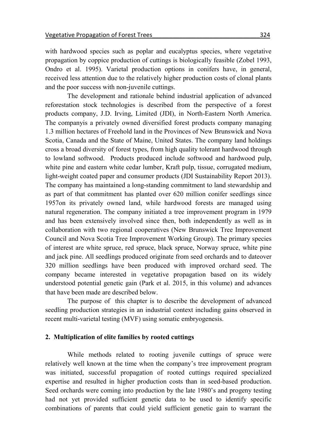with hardwood species such as poplar and eucalyptus species, where vegetative propagation by coppice production of cuttings is biologically feasible (Zobel 1993, Ondro et al. 1995). Varietal production options in conifers have, in general, received less attention due to the relatively higher production costs of clonal plants and the poor success with non-juvenile cuttings.

The development and rationale behind industrial application of advanced reforestation stock technologies is described from the perspective of a forest products company, J.D. Irving, Limited (JDI), in North-Eastern North America. The companyis <sup>a</sup> privately owned diversified forest products company managing 1.3 million hectares of Freehold land in the Provinces of New Brunswick and Nova Scotia, Canada and the State of Maine, United States. The company land holdings cross a broad diversity of forest types, from high quality tolerant hardwood through to lowland softwood. Products produced include softwood and hardwood pulp, white pine and eastern white cedar lumber, Kraft pulp, tissue, corrugated medium, light-weight coated paper and consumer products (JDI Sustainability Report 2013). The company has maintained a long-standing commitment to land stewardship and as part of that commitment has planted over 620 million conifer seedlings since 1957on its privately owned land, while hardwood forests are managed using natural regeneration. The company initiated a tree improvement program in 1979 and has been extensively involved since then, both independently as well as in collaboration with two regional cooperatives (New Brunswick Tree Improvement Council and Nova Scotia Tree Improvement Working Group). The primary species of interest are white spruce, red spruce, black spruce, Norway spruce, white pine and jack pine. All seedlings produced originate from seed orchards and to dateover 320 million seedlings have been produced with improved orchard seed. The company became interested in vegetative propagation based on its widely understood potential genetic gain (Park et al. 2015, in this volume) and advances that have been made are described below.

The purpose of this chapter is to describe the development of advanced seedling production strategies in an industrial context including gains observed in recent multi-varietal testing (MVF) using somatic embryogenesis.

#### **2. Multiplication of elite families by rooted cuttings**

While methods related to rooting juvenile cuttings of spruce were relatively well known at the time when the company's tree improvement program was initiated, successful propagation of rooted cuttings required specialized expertise and resulted in higher production costs than in seed-based production. Seed orchards were coming into production by the late 1980's and progeny testing had not yet provided sufficient genetic data to be used to identify specific combinations of parents that could yield sufficient genetic gain to warrant the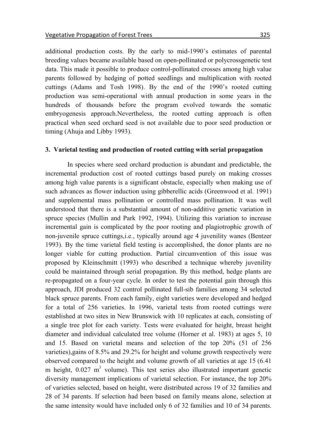additional production costs. By the early to mid-1990's estimates of parental breeding values became available based on open-pollinated or polycrossgenetic test data. This made it possible to produce control-pollinated crosses among high value parents followed by hedging of potted seedlings and multiplication with rooted cuttings (Adams and Tosh 1998). By the end of the 1990's rooted cutting production was semi-operational with annual production in some years in the hundreds of thousands before the program evolved towards the somatic embryogenesis approach.Nevertheless, the rooted cutting approach is often practical when seed orchard seed is not available due to poor seed production or timing (Ahuja and Libby 1993).

# **3. Varietal testing and production of rooted cutting with serial propagation**

In species where seed orchard production is abundant and predictable, the incremental production cost of rooted cuttings based purely on making crosses among high value parents is a significant obstacle, especially when making use of such advances as flower induction using gibberellic acids (Greenwood et al. 1991) and supplemental mass pollination or controlled mass pollination. It was well understood that there is a substantial amount of non-additive genetic variation in spruce species (Mullin and Park 1992, 1994). Utilizing this variation to increase incremental gain is complicated by the poor rooting and plagiotrophic growth of non-juvenile spruce cuttings,i.e., typically around age 4 juvenility wanes (Bentzer 1993). By the time varietal field testing is accomplished, the donor plants are no longer viable for cutting production. Partial circumvention of this issue was proposed by Kleinschmitt (1993) who described a technique whereby juvenility could be maintained through serial propagation. By this method, hedge plants are re-propagated on a four-year cycle. In order to test the potential gain through this approach, JDI produced 32 control pollinated full-sib families among 34 selected black spruce parents. From each family, eight varieties were developed and hedged for a total of 256 varieties. In 1996, varietal tests from rooted cuttings were established at two sites in New Brunswick with 10 replicates at each, consisting of a single tree plot for each variety. Tests were evaluated for height, breast height diameter and individual calculated tree volume (Horner et al. 1983) at ages 5, 10 and 15. Based on varietal means and selection of the top 20% (51 of 256 varieties),gains of 8.5% and 29.2% for height and volume growth respectively were observed compared to the height and volume growth of all varieties at age 15 (6.41 m height,  $0.027 \text{ m}^3$  volume). This test series also illustrated important genetic diversity management implications of varietal selection. For instance, the top 20% of varieties selected, based on height, were distributed across 19 of 32 families and 28 of 34 parents. If selection had been based on family means alone, selection at the same intensity would have included only 6 of 32 families and 10 of 34 parents.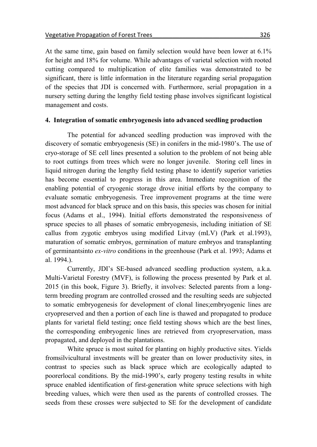At the same time, gain based on family selection would have been lower at 6.1% for height and 18% for volume. While advantages of varietal selection with rooted cutting compared to multiplication of elite families was demonstrated to be significant, there is little information in the literature regarding serial propagation of the species that JDI is concerned with. Furthermore, serial propagation in a nursery setting during the lengthy field testing phase involves significant logistical management and costs.

#### **4. Integration of somatic embryogenesis into advanced seedling production**

The potential for advanced seedling production was improved with the discovery of somatic embryogenesis (SE) in conifers in the mid-1980's. The use of cryo-storage of SE cell lines presented a solution to the problem of not being able to root cuttings from trees which were no longer juvenile. Storing cell lines in liquid nitrogen during the lengthy field testing phase to identify superior varieties has become essential to progress in this area. Immediate recognition of the enabling potential of cryogenic storage drove initial efforts by the company to evaluate somatic embryogenesis. Tree improvement programs at the time were most advanced for black spruce and on this basis, this species was chosen for initial focus (Adams et al., 1994). Initial efforts demonstrated the responsiveness of spruce species to all phases of somatic embryogenesis, including initiation of SE callus from zygotic embryos using modified Litvay (mLV) (Park et al.1993), maturation of somatic embryos, germination of mature embryos and transplanting of germinantsinto *ex-vitro* conditions in the greenhouse (Park et al. 1993; Adams et al. 1994.).

Currently, JDI's SE-based advanced seedling production system, a.k.a. Multi-Varietal Forestry (MVF), is following the process presented by Park et al. 2015 (in this book, Figure 3). Briefly, it involves: Selected parents from a longterm breeding program are controlled crossed and the resulting seeds are subjected to somatic embryogenesis for development of clonal lines;embryogenic lines are cryopreserved and then a portion of each line is thawed and propagated to produce plants for varietal field testing; once field testing shows which are the best lines, the corresponding embryogenic lines are retrieved from cryopreservation, mass propagated, and deployed in the plantations.

White spruce is most suited for planting on highly productive sites. Yields fromsilvicultural investments will be greater than on lower productivity sites, in contrast to species such as black spruce which are ecologically adapted to poorerlocal conditions. By the mid-1990's, early progeny testing results in white spruce enabled identification of first-generation white spruce selections with high breeding values, which were then used as the parents of controlled crosses. The seeds from these crosses were subjected to SE for the development of candidate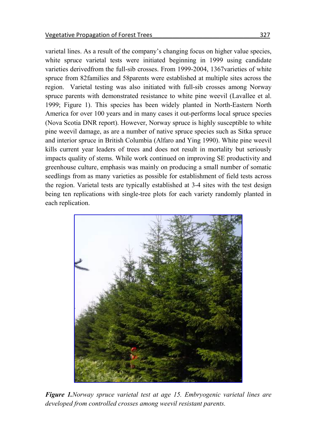varietal lines. As a result of the company's changing focus on higher value species, white spruce varietal tests were initiated beginning in 1999 using candidate varieties derivedfrom the full-sib crosses. From 1999-2004, 1367varieties of white spruce from 82families and 58parents were established at multiple sites across the region. Varietal testing was also initiated with full-sib crosses among Norway spruce parents with demonstrated resistance to white pine weevil (Lavallee et al. 1999; Figure 1). This species has been widely planted in North-Eastern North America for over 100 years and in many cases it out-performs local spruce species (Nova Scotia DNR report). However, Norway spruce is highly susceptible to white pine weevil damage, as are a number of native spruce species such as Sitka spruce and interior spruce in British Columbia (Alfaro and Ying 1990). White pine weevil kills current year leaders of trees and does not result in mortality but seriously impacts quality of stems. While work continued on improving SE productivity and greenhouse culture, emphasis was mainly on producing a small number of somatic seedlings from as many varieties as possible for establishment of field tests across the region. Varietal tests are typically established at 3-4 sites with the test design being ten replications with single-tree plots for each variety randomly planted in each replication.



*Figure 1.Norway spruce varietal test at age 15. Embryogenic varietal lines are developed from controlled crosses among weevil resistant parents.*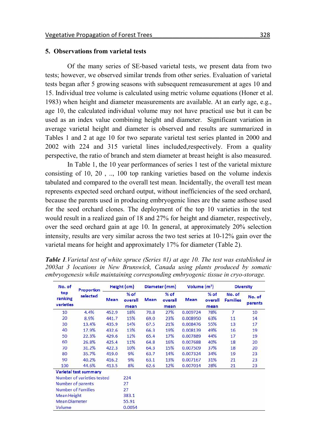#### **5. Observations from varietal tests**

Of the many series of SE-based varietal tests, we present data from two tests; however, we observed similar trends from other series. Evaluation of varietal tests began after 5 growing seasons with subsequent remeasurement at ages 10 and 15. Individual tree volume is calculated using metric volume equations (Honer et al. 1983) when height and diameter measurements are available. At an early age, e.g., age 10, the calculated individual volume may not have practical use but it can be used as an index value combining height and diameter. Significant variation in average varietal height and diameter is observed and results are summarized in Tables 1 and 2 at age 10 for two separate varietal test series planted in 2000 and 2002 with 224 and 315 varietal lines included,respectively. From a quality perspective, the ratio of branch and stem diameter at breast height is also measured.

In Table 1, the 10 year performances of series 1 test of the varietal mixture consisting of 10, 20 , .., 100 top ranking varieties based on the volume indexis tabulated and compared to the overall test mean. Incidentally, the overall test mean represents expected seed orchard output, without inefficiencies of the seed orchard, because the parents used in producing embryogenic lines are the same asthose used for the seed orchard clones. The deployment of the top 10 varieties in the test would result in a realized gain of 18 and 27% for height and diameter, respectively, over the seed orchard gain at age 10. In general, at approximately 20% selection intensity, results are very similar across the two test series at 10-12% gain over the varietal means for height and approximately 17% for diameter (Table 2).

| No. of<br>top<br>ranking<br>varieties | Proportion<br>selected       | Height (cm) |                           | Diameter (mm) |                           | Volume $(m^3)$ |                           | <b>Diversity</b>          |                   |
|---------------------------------------|------------------------------|-------------|---------------------------|---------------|---------------------------|----------------|---------------------------|---------------------------|-------------------|
|                                       |                              | <b>Mean</b> | $%$ of<br>overall<br>mean | <b>Mean</b>   | $%$ of<br>overall<br>mean | <b>Mean</b>    | $%$ of<br>overall<br>mean | No. of<br><b>Families</b> | No. of<br>parents |
| 10                                    | 4.4%                         | 452.9       | 18%                       | 70.8          | 27%                       | 0.009724       | 78%                       | 7                         | 10                |
| 20                                    | 8.9%                         | 441.7       | 15%                       | 69.0          | 23%                       | 0.008950       | 63%                       | 11                        | 14                |
| 30                                    | 13.4%                        | 435.9       | 14%                       | 67.5          | 21%                       | 0.008476       | 55%                       | 13                        | 17                |
| 40                                    | 17.9%                        | 432.6       | 13%                       | 66.3          | 19%                       | 0.008139       | 49%                       | 16                        | 19                |
| 50                                    | 22.3%                        | 429.6       | 12%                       | 65.4          | 17%                       | 0.007889       | 44%                       | 17                        | 19                |
| 60                                    | 26.8%                        | 425.4       | 11%                       | 64.8          | 16%                       | 0.007688       | 40%                       | 18                        | 20                |
| 70                                    | 31.2%                        | 422.3       | 10%                       | 64.3          | 15%                       | 0.007509       | 37%                       | 18                        | 20                |
| 80                                    | 35.7%                        | 419.0       | 9%                        | 63.7          | 14%                       | 0.007324       | 34%                       | 19                        | 23                |
| 90                                    | 40.2%                        | 416.2       | 9%                        | 63.1          | 13%                       | 0.007167       | 31%                       | 21                        | 23                |
| 100                                   | 44.6%                        | 413.5       | 8%                        | 62.6          | 12%                       | 0.007014       | 28%                       | 21                        | 23                |
|                                       | <b>Varietal test summary</b> |             |                           |               |                           |                |                           |                           |                   |
| Number of varieties tested            |                              |             | 224                       |               |                           |                |                           |                           |                   |
| Number of parents                     |                              |             | 27                        |               |                           |                |                           |                           |                   |
| <b>Number of Families</b>             |                              | 27          |                           |               |                           |                |                           |                           |                   |
| <b>Mean Height</b>                    |                              | 383.1       |                           |               |                           |                |                           |                           |                   |
| <b>Mean Diameter</b>                  |                              | 55.91       |                           |               |                           |                |                           |                           |                   |
| Volume                                |                              | 0.0054      |                           |               |                           |                |                           |                           |                   |

*Table 1.Varietal test of white spruce (Series #1) at age 10. The test was established in 2003at 3 locations in New Brunswick, Canada using plants produced by somatic embryogenesis while maintaining corresponding embryogenic tissue in cryo-storage.*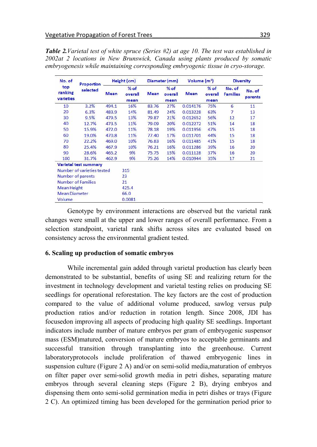*Table 2.Varietal test of white spruce (Series #2) at age 10. The test was established in 2002at 2 locations in New Brunswick, Canada using plants produced by somatic embryogenesis while maintaining corresponding embryogenic tissue in cryo-storage.*

| No. of<br>top<br>ranking<br>varieties | Proportion<br>selected       | Height (cm) |                           | Diameter (mm) |                           | Volume $(m^3)$ |                           | <b>Diversity</b>          |                   |
|---------------------------------------|------------------------------|-------------|---------------------------|---------------|---------------------------|----------------|---------------------------|---------------------------|-------------------|
|                                       |                              | <b>Mean</b> | $%$ of<br>overall<br>mean | <b>Mean</b>   | $%$ of<br>overall<br>mean | <b>Mean</b>    | $%$ of<br>overall<br>mean | No. of<br><b>Families</b> | No. of<br>parents |
| 10                                    | 3.2%                         | 494.1       | 16%                       | 83.76         | 27%                       | 0.014176       | 75%                       | 6                         | 11                |
| 20                                    | 6.3%                         | 483.9       | 14%                       | 81.49         | 24%                       | 0.013228       | 63%                       | 7                         | 13                |
| 30                                    | 9.5%                         | 479.5       | 13%                       | 79.87         | 21%                       | 0.012652       | 56%                       | 12                        | 17                |
| 40                                    | 12.7%                        | 473.5       | 11%                       | 79.09         | 20%                       | 0.012272       | 51%                       | 14                        | 18                |
| 50                                    | 15.9%                        | 472.0       | 11%                       | 78.18         | 19%                       | 0.011956       | 47%                       | 15                        | 18                |
| 60                                    | 19.0%                        | 470.8       | 11%                       | 77.40         | 17%                       | 0.011701       | 44%                       | 15                        | 18                |
| 70                                    | 22.2%                        | 469.0       | 10%                       | 76.83         | 16%                       | 0.011485       | 41%                       | 15                        | 18                |
| 80                                    | 25.4%                        | 467.9       | 10%                       | 76.21         | 16%                       | 0.011286       | 39%                       | 16                        | 20                |
| 90                                    | 28.6%                        | 465.2       | 9%                        | 75.75         | 15%                       | 0.011128       | 37%                       | 16                        | 20                |
| 100                                   | 31.7%                        | 462.9       | 9%                        | 75.26         | 14%                       | 0.010944       | 35%                       | 17                        | 21                |
|                                       | <b>Varietal test summary</b> |             |                           |               |                           |                |                           |                           |                   |
| Number of varieties tested            |                              |             | 315                       |               |                           |                |                           |                           |                   |
| Number of parents                     |                              |             | 23                        |               |                           |                |                           |                           |                   |
| <b>Number of Families</b>             |                              | 21          |                           |               |                           |                |                           |                           |                   |
| <b>Mean Height</b>                    |                              | 425.4       |                           |               |                           |                |                           |                           |                   |
| <b>Mean Diameter</b>                  |                              | 66.0        |                           |               |                           |                |                           |                           |                   |
| Volume                                |                              | 0.0081      |                           |               |                           |                |                           |                           |                   |

Genotype by environment interactions are observed but the varietal rank changes were small at the upper and lower ranges of overall performance. From a selection standpoint, varietal rank shifts across sites are evaluated based on consistency across the environmental gradient tested.

#### **6. Scaling up production of somatic embryos**

While incremental gain added through varietal production has clearly been demonstrated to be substantial, benefits of using SE and realizing return for the investment in technology development and varietal testing relies on producing SE seedlings for operational reforestation. The key factors are the cost of production compared to the value of additional volume produced, sawlog versus pulp production ratios and/or reduction in rotation length. Since 2008, JDI has focusedon improving all aspects of producing high quality SE seedlings. Important indicators include number of mature embryos per gram of embryogenic suspensor mass (ESM)matured, conversion of mature embryos to acceptable germinants and successful transition through transplanting into the greenhouse. Current laboratoryprotocols include proliferation of thawed embryogenic lines in suspension culture (Figure 2 A) and/or on semi-solid media,maturation of embryos on filter paper over semi-solid growth media in petri dishes, separating mature embryos through several cleaning steps (Figure 2 B), drying embryos and dispensing them onto semi-solid germination media in petri dishes or trays (Figure 2 C). An optimized timing has been developed for the germination period prior to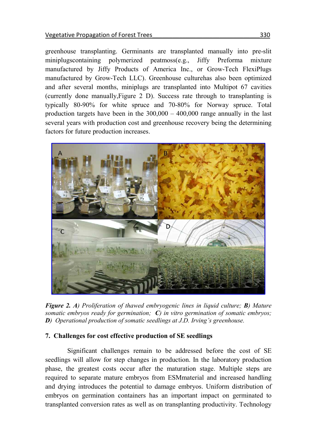greenhouse transplanting. Germinants are transplanted manually into pre-slit miniplugscontaining polymerized peatmoss(e.g., Jiffy Preforma mixture manufactured by Jiffy Products of America Inc., or Grow-Tech FlexiPlugs manufactured by Grow-Tech LLC). Greenhouse culturehas also been optimized and after several months, miniplugs are transplanted into Multipot 67 cavities (currently done manually,Figure 2 D). Success rate through to transplanting is typically 80-90% for white spruce and 70-80% for Norway spruce. Total production targets have been in the 300,000 – 400,000 range annually in the last several years with production cost and greenhouse recovery being the determining factors for future production increases.



*Figure 2. A) Proliferation of thawed embryogenic lines in liquid culture; B) Mature somatic embryos ready for germination; C) in vitro germination of somatic embryos; D) Operational production of somatic seedlings at J.D. Irving's greenhouse.*

# **7. Challenges for cost effective production of SE seedlings**

Significant challenges remain to be addressed before the cost of SE seedlings will allow for step changes in production. In the laboratory production phase, the greatest costs occur after the maturation stage. Multiple steps are required to separate mature embryos from ESMmaterial and increased handling and drying introduces the potential to damage embryos. Uniform distribution of embryos on germination containers has an important impact on germinated to transplanted conversion rates as well as on transplanting productivity. Technology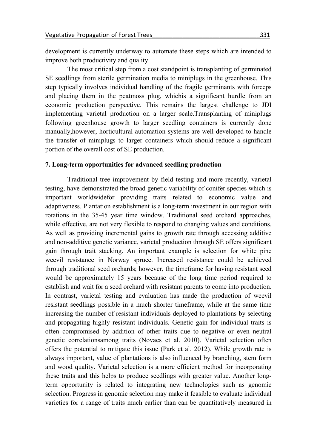development is currently underway to automate these steps which are intended to improve both productivity and quality.

The most critical step from a cost standpoint is transplanting of germinated SE seedlings from sterile germination media to miniplugs in the greenhouse. This step typically involves individual handling of the fragile germinants with forceps and placing them in the peatmoss plug, whichis a significant hurdle from an economic production perspective. This remains the largest challenge to JDI implementing varietal production on a larger scale.Transplanting of miniplugs following greenhouse growth to larger seedling containers is currently done manually,however, horticultural automation systems are well developed to handle the transfer of miniplugs to larger containers which should reduce a significant portion of the overall cost of SE production.

#### **7. Long-term opportunities for advanced seedling production**

Traditional tree improvement by field testing and more recently, varietal testing, have demonstrated the broad genetic variability of conifer species which is important worldwidefor providing traits related to economic value and adaptiveness. Plantation establishment is a long-term investment in our region with rotations in the 35-45 year time window. Traditional seed orchard approaches, while effective, are not very flexible to respond to changing values and conditions. As well as providing incremental gains to growth rate through accessing additive and non-additive genetic variance, varietal production through SE offers significant gain through trait stacking. An important example is selection for white pine weevil resistance in Norway spruce. Increased resistance could be achieved through traditional seed orchards; however, the timeframe for having resistant seed would be approximately 15 years because of the long time period required to establish and wait for a seed orchard with resistant parents to come into production. In contrast, varietal testing and evaluation has made the production of weevil resistant seedlings possible in a much shorter timeframe, while at the same time increasing the number of resistant individuals deployed to plantations by selecting and propagating highly resistant individuals. Genetic gain for individual traits is often compromised by addition of other traits due to negative or even neutral genetic correlationsamong traits (Novaes et al. 2010). Varietal selection often offers the potential to mitigate this issue (Park et al. 2012). While growth rate is always important, value of plantations is also influenced by branching, stem form and wood quality. Varietal selection is a more efficient method for incorporating these traits and this helps to produce seedlings with greater value. Another longterm opportunity is related to integrating new technologies such as genomic selection. Progress in genomic selection may make it feasible to evaluate individual varieties for a range of traits much earlier than can be quantitatively measured in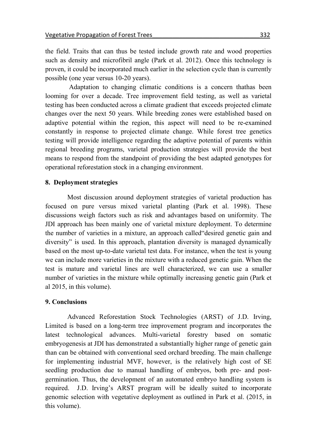the field. Traits that can thus be tested include growth rate and wood properties such as density and microfibril angle (Park et al. 2012). Once this technology is proven, it could be incorporated much earlier in the selection cycle than is currently possible (one year versus 10-20 years).

Adaptation to changing climatic conditions is a concern thathas been looming for over a decade. Tree improvement field testing, as well as varietal testing has been conducted across a climate gradient that exceeds projected climate changes over the next 50 years. While breeding zones were established based on adaptive potential within the region, this aspect will need to be re-examined constantly in response to projected climate change. While forest tree genetics testing will provide intelligence regarding the adaptive potential of parents within regional breeding programs, varietal production strategies will provide the best means to respond from the standpoint of providing the best adapted genotypes for operational reforestation stock in a changing environment.

### **8. Deployment strategies**

Most discussion around deployment strategies of varietal production has focused on pure versus mixed varietal planting (Park et al. 1998). These discussions weigh factors such as risk and advantages based on uniformity. The JDI approach has been mainly one of varietal mixture deployment. To determine the number of varieties in a mixture, an approach called"desired genetic gain and diversity" is used. In this approach, plantation diversity is managed dynamically based on the most up-to-date varietal test data. For instance, when the test is young we can include more varieties in the mixture with a reduced genetic gain. When the test is mature and varietal lines are well characterized, we can use a smaller number of varieties in the mixture while optimally increasing genetic gain (Park et al 2015, in this volume).

# **9. Conclusions**

Advanced Reforestation Stock Technologies (ARST) of J.D. Irving, Limited is based on a long-term tree improvement program and incorporates the latest technological advances. Multi-varietal forestry based on somatic embryogenesis at JDI has demonstrated a substantially higher range of genetic gain than can be obtained with conventional seed orchard breeding. The main challenge for implementing industrial MVF, however, is the relatively high cost of SE seedling production due to manual handling of embryos, both pre- and post germination. Thus, the development of an automated embryo handling system is required. J.D. Irving's ARST program will be ideally suited to incorporate genomic selection with vegetative deployment as outlined in Park et al. (2015, in this volume).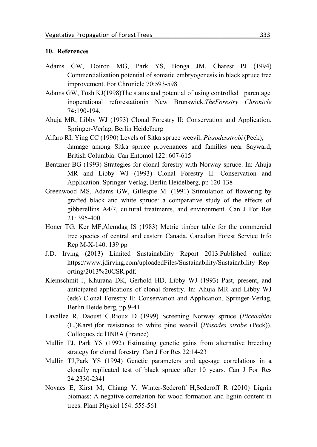#### **10. References**

- Adams GW, Doiron MG, Park YS, Bonga JM, Charest PJ (1994) Commercialization potential of somatic embryogenesis in black spruce tree improvement. For Chronicle 70:593-598
- Adams GW, Tosh KJ(1998)The status and potential of using controlled parentage inoperational reforestationin New Brunswick.*TheForestry Chronicle* 74**:**190-194.
- Ahuja MR, Libby WJ (1993) Clonal Forestry II: Conservation and Application. Springer-Verlag, Berlin Heidelberg
- Alfaro RI, Ying CC (1990) Levels of Sitka spruce weevil, *Pissodesstrobi* (Peck), damage among Sitka spruce provenances and families near Sayward, British Columbia. Can Entomol 122: 607-615
- Bentzner BG (1993) Strategies for clonal forestry with Norway spruce. In: Ahuja MR and Libby WJ (1993) Clonal Forestry II: Conservation and Application. Springer-Verlag, Berlin Heidelberg, pp 120-138
- Greenwood MS, Adams GW, Gillespie M. (1991) Stimulation of flowering by grafted black and white spruce: a comparative study of the effects of gibberellins A4/7, cultural treatments, and environment. Can J For Res 21: 395-400
- Honer TG, Ker MF,Alemdag IS (1983) Metric timber table for the commercial tree species of central and eastern Canada. Canadian Forest Service Info Rep M-X-140. 139 pp
- J.D. Irving (2013) Limited Sustainability Report 2013.Published online: https://www.jdirving.com/uploadedFiles/Sustainability/Sustainability\_Rep orting/2013%20CSR.pdf.
- Kleinschmit J, Khurana DK, Gerhold HD, Libby WJ (1993) Past, present, and anticipated applications of clonal forestry. In: Ahuja MR and Libby WJ (eds) Clonal Forestry II: Conservation and Application. Springer-Verlag, Berlin Heidelberg, pp 9-41
- Lavallee R, Daoust G,Rioux D (1999) Screening Norway spruce (*Piceaabies* (L.)Karst.)for resistance to white pine weevil (*Pissodes strobe* (Peck)). Colloques de l'INRA (France)
- Mullin TJ, Park YS (1992) Estimating genetic gains from alternative breeding strategy for clonal forestry. Can J For Res 22:14-23
- Mullin TJ,Park YS (1994) Genetic parameters and age-age correlations in a clonally replicated test of black spruce after 10 years. Can J For Res 24:2330-2341
- Novaes E, Kirst M, Chiang V, Winter-Sederoff H,Sederoff R (2010) Lignin biomass: A negative correlation for wood formation and lignin content in trees. Plant Physiol 154: 555-561